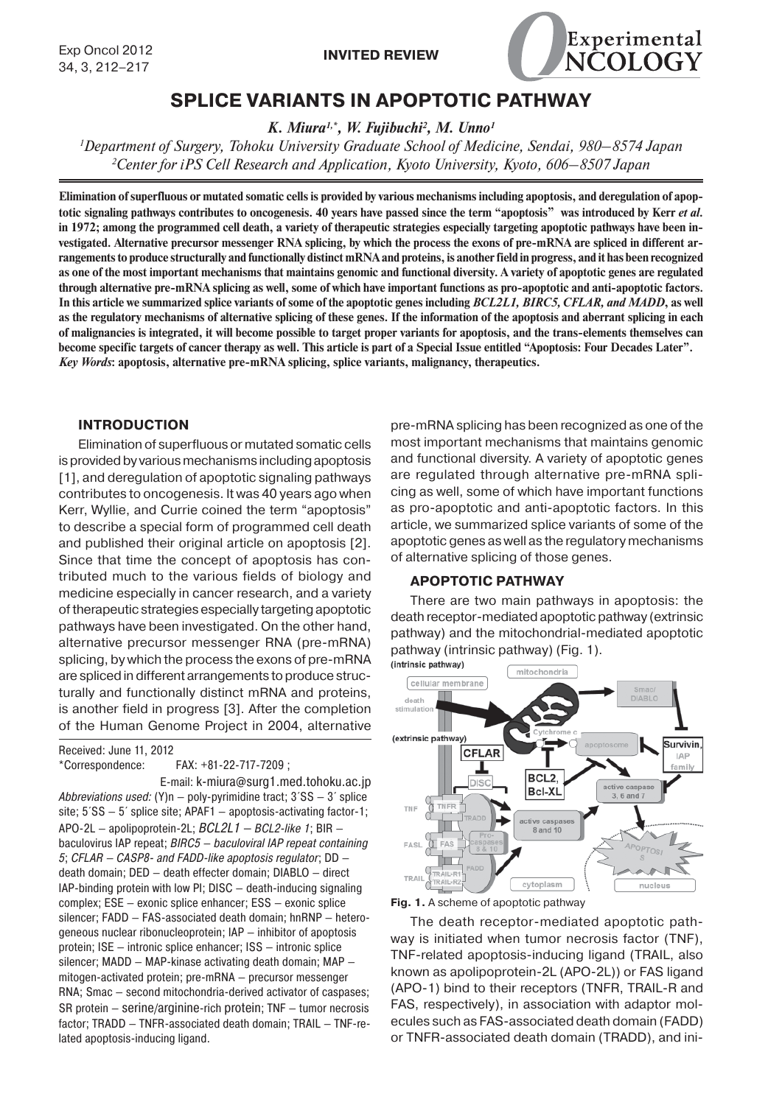

# **SPLICE VARIANTS IN APOPTOTIC PATHWAY**

*K. Miura1,\*, W. Fujibuchi2 , M. Unno1*

*1 Department of Surgery, Tohoku University Graduate School of Medicine, Sendai, 980–8574 Japan 2 Center for iPS Cell Research and Application, Kyoto University, Kyoto, 606–8507 Japan*

**Elimination of superfluous or mutated somatic cells is provided by various mechanisms including apoptosis, and deregulation of apoptotic signaling pathways contributes to oncogenesis. 40 years have passed since the term "apoptosis" was introduced by Kerr** *et al.* **in 1972; among the programmed cell death, a variety of therapeutic strategies especially targeting apoptotic pathways have been investigated. Alternative precursor messenger RNA splicing, by which the process the exons of pre-mRNA are spliced in different arrangements to produce structurally and functionally distinct mRNA and proteins, is another field in progress, and it has been recognized as one of the most important mechanisms that maintains genomic and functional diversity. A variety of apoptotic genes are regulated through alternative pre-mRNA splicing as well, some of which have important functions as pro-apoptotic and anti-apoptotic factors. In this article we summarized splice variants of some of the apoptotic genes including** *BCL2L1, BIRC5, CFLAR, and MADD***, as well as the regulatory mechanisms of alternative splicing of these genes. If the information of the apoptosis and aberrant splicing in each of malignancies is integrated, it will become possible to target proper variants for apoptosis, and the trans-elements themselves can become specific targets of cancer therapy as well. This article is part of a Special Issue entitled "Apoptosis: Four Decades Later".** *Key Words***: apoptosis, alternative pre-mRNA splicing, splice variants, malignancy, therapeutics.**

# **INTRODUCTION**

Elimination of superfluous or mutated somatic cells is provided by various mechanisms including apoptosis [1], and deregulation of apoptotic signaling pathways contributes to oncogenesis. It was 40 years ago when Kerr, Wyllie, and Currie coined the term "apoptosis" to describe a special form of programmed cell death and published their original article on apoptosis [2]. Since that time the concept of apoptosis has contributed much to the various fields of biology and medicine especially in cancer research, and a variety of therapeutic strategies especially targeting apoptotic pathways have been investigated. On the other hand, alternative precursor messenger RNA (pre-mRNA) splicing, by which the process the exons of pre-mRNA are spliced in different arrangements to produce structurally and functionally distinct mRNA and proteins, is another field in progress [3]. After the completion of the Human Genome Project in 2004, alternative

Received: June 11, 2012

\*Correspondence: FAX: +81-22-717-7209 ;

 E-mail: k-miura@surg1.med.tohoku.ac.jp Abbreviations used:  $(Y)n - poly-py$ rimidine tract;  $3'SS - 3'$  splice site; 5´SS — 5´ splice site; APAF1 — apoptosis-activating factor-1; APO-2L – apolipoprotein-2L;  $BCL2L1 - BCL2$ -like 1; BIR – baculovirus IAP repeat; BIRC5 — baculoviral IAP repeat containing 5; CFLAR — CASP8- and FADD-like apoptosis regulator; DD death domain; DED — death effecter domain; DIABLO — direct IAP-binding protein with low PI; DISC — death-inducing signaling complex; ESE — exonic splice enhancer; ESS — exonic splice silencer; FADD — FAS-associated death domain; hnRNP — heterogeneous nuclear ribonucleoprotein; IAP — inhibitor of apoptosis protein; ISE — intronic splice enhancer; ISS — intronic splice silencer; MADD — MAP-kinase activating death domain; MAP mitogen-activated protein; pre-mRNA — precursor messenger RNA; Smac — second mitochondria-derived activator of caspases; SR protein — serine/arginine-rich protein; TNF — tumor necrosis factor; TRADD — TNFR-associated death domain; TRAIL — TNF-related apoptosis-inducing ligand.

pre-mRNA splicing has been recognized as one of the most important mechanisms that maintains genomic and functional diversity. A variety of apoptotic genes are regulated through alternative pre-mRNA splicing as well, some of which have important functions as pro-apoptotic and anti-apoptotic factors. In this article, we summarized splice variants of some of the apoptotic genes as well as the regulatory mechanisms of alternative splicing of those genes.

#### **APOPTOTIC PATHWAY**

There are two main pathways in apoptosis: the death receptor-mediated apoptotic pathway (extrinsic pathway) and the mitochondrial-mediated apoptotic pathway (intrinsic pathway) (Fig. 1).



**Fig. 1.** A scheme of apoptotic pathway

The death receptor-mediated apoptotic pathway is initiated when tumor necrosis factor (TNF), TNF-related apoptosis-inducing ligand (TRAIL, also known as apolipoprotein-2L (APO-2L)) or FAS ligand (APO-1) bind to their receptors (TNFR, TRAIL-R and FAS, respectively), in association with adaptor molecules such as FAS-associated death domain (FADD) or TNFR-associated death domain (TRADD), and ini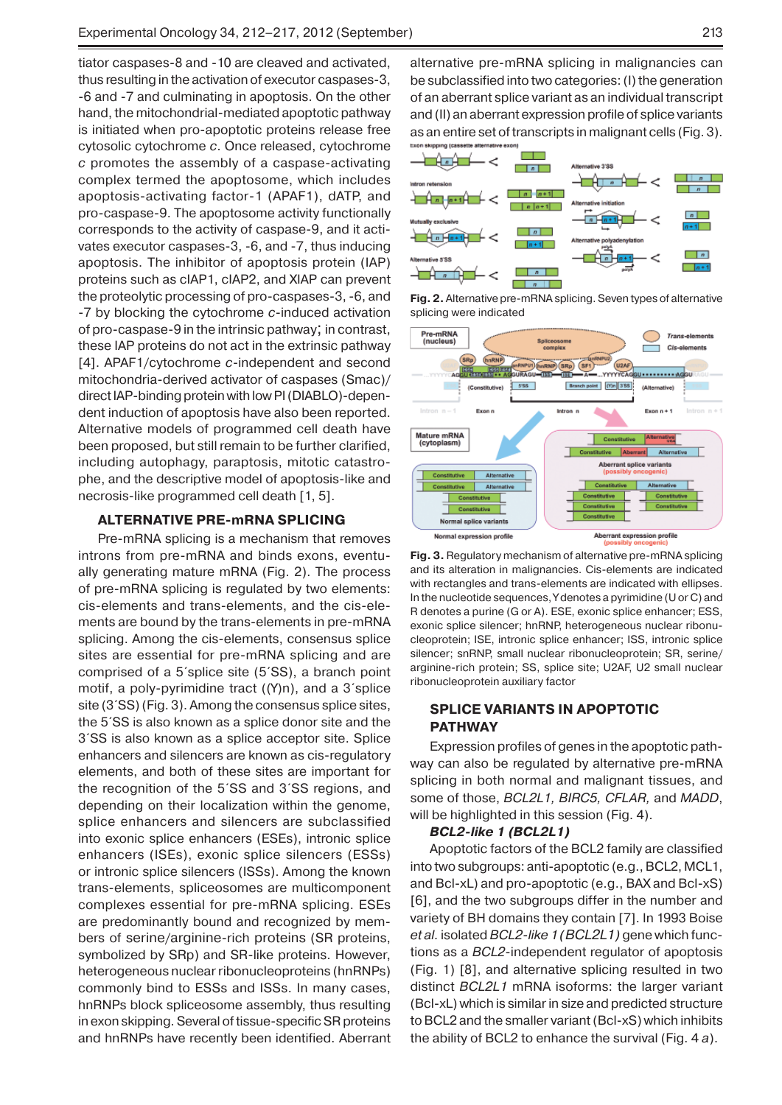tiator caspases-8 and -10 are cleaved and activated, thus resulting in the activation of executor caspases-3, -6 and -7 and culminating in apoptosis. On the other hand, the mitochondrial-mediated apoptotic pathway is initiated when pro-apoptotic proteins release free cytosolic cytochrome *c*. Once released, cytochrome *c* promotes the assembly of a caspase-activating complex termed the apoptosome, which includes apoptosis-activating factor-1 (APAF1), dATP, and pro-caspase-9. The apoptosome activity functionally corresponds to the activity of caspase-9, and it activates executor caspases-3, -6, and -7, thus inducing apoptosis. The inhibitor of apoptosis protein (IAP) proteins such as cIAP1, cIAP2, and XIAP can prevent the proteolytic processing of pro-caspases-3, -6, and -7 by blocking the cyto chrome *c*-induced activation of pro-caspase-9 in the intrinsic pathway; in contrast, these IAP proteins do not act in the extrinsic pathway [4]. APAF1/cytochrome *c*-independent and second mitochondria-derived activator of caspases (Smac)/ direct IAP-binding protein with low PI (DIABLO)-dependent induction of apoptosis have also been reported. Alternative models of programmed cell death have been proposed, but still remain to be further clarified, including autophagy, paraptosis, mitotic catastrophe, and the descriptive model of apoptosis-like and necrosis-like programmed cell death [1, 5].

## **ALTERNATIVE PRE-mRNA SPLICING**

Pre-mRNA splicing is a mechanism that removes introns from pre-mRNA and binds exons, eventually generating mature mRNA (Fig. 2). The process of pre-mRNA splicing is regulated by two elements: cis-elements and trans-elements, and the cis-elements are bound by the trans-elements in pre-mRNA splicing. Among the cis-elements, consensus splice sites are essential for pre-mRNA splicing and are comprised of a 5´splice site (5´SS), a branch point motif, a poly-pyrimidine tract ((Y)n), and a 3´splice site (3´SS) (Fig. 3). Among the consensus splice sites, the 5´SS is also known as a splice donor site and the 3´SS is also known as a splice acceptor site. Splice enhancers and silencers are known as cis-regulatory elements, and both of these sites are important for the recognition of the 5´SS and 3´SS regions, and depending on their localization within the genome, splice enhancers and silencers are subclassified into exonic splice enhancers (ESEs), intronic splice enhancers (ISEs), exonic splice silencers (ESSs) or intronic splice silencers (ISSs). Among the known trans-elements, spliceosomes are multicomponent complexes essential for pre-mRNA splicing. ESEs are predominantly bound and recognized by members of serine/arginine-rich proteins (SR proteins, symbolized by SRp) and SR-like proteins. However, heterogeneous nuclear ribonucleoproteins (hnRNPs) commonly bind to ESSs and ISSs. In many cases, hnRNPs block spliceosome assembly, thus resulting in exon skipping. Several of tissue-specific SR proteins and hnRNPs have recently been identified. Aberrant

alternative pre-mRNA splicing in malignancies can be subclassified into two categories: (I) the generation of an aberrant splice variant as an individual transcript and (II) an aberrant expression profile of splice variants as an entire set of transcripts in malignant cells (Fig. 3). Exon skipping (cassette alternat



**Fig. 2.** Alternative pre-mRNA splicing. Seven types of alternative splicing were indicated



**Fig. 3.** Regulatory mechanism of alternative pre-mRNA splicing and its alteration in malignancies. Cis-elements are indicated with rectangles and trans-elements are indicated with ellipses. In the nucleotide sequences, Y denotes a pyrimidine (U or C) and R denotes a purine (G or A). ESE, exonic splice enhancer; ESS, exonic splice silencer; hnRNP, heterogeneous nuclear ribonucleoprotein; ISE, intronic splice enhancer; ISS, intronic splice silencer; snRNP, small nuclear ribonucleoprotein; SR, serine/ arginine-rich protein; SS, splice site; U2AF, U2 small nuclear ribonucleoprotein auxiliary factor

# **SPLICE VARIANTS IN APOPTOTIC PATHWAY**

Expression profiles of genes in the apoptotic pathway can also be regulated by alternative pre-mRNA splicing in both normal and malignant tissues, and some of those, *BCL2L1, BIRC5, CFLAR,* and *MADD*, will be highlighted in this session (Fig. 4).

#### *BCL2-like 1 (BCL2L1)*

Apoptotic factors of the BCL2 family are classified into two subgroups: anti-apoptotic (e.g., BCL2, MCL1, and Bcl-xL) and pro-apoptotic (e.g., BAX and Bcl-xS) [6], and the two subgroups differ in the number and variety of BH domains they contain [7]. In 1993 Boise *et al.* isolated *BCL2-like 1 (BCL2L1)* gene which functions as a *BCL2*-independent regulator of apoptosis (Fig. 1) [8], and alternative splicing resulted in two distinct *BCL2L1* mRNA isoforms: the larger variant (Bcl-xL) which is similar in size and predicted structure to BCL2 and the smaller variant (Bcl-xS) which inhibits the ability of BCL2 to enhance the survival (Fig. 4 *a*).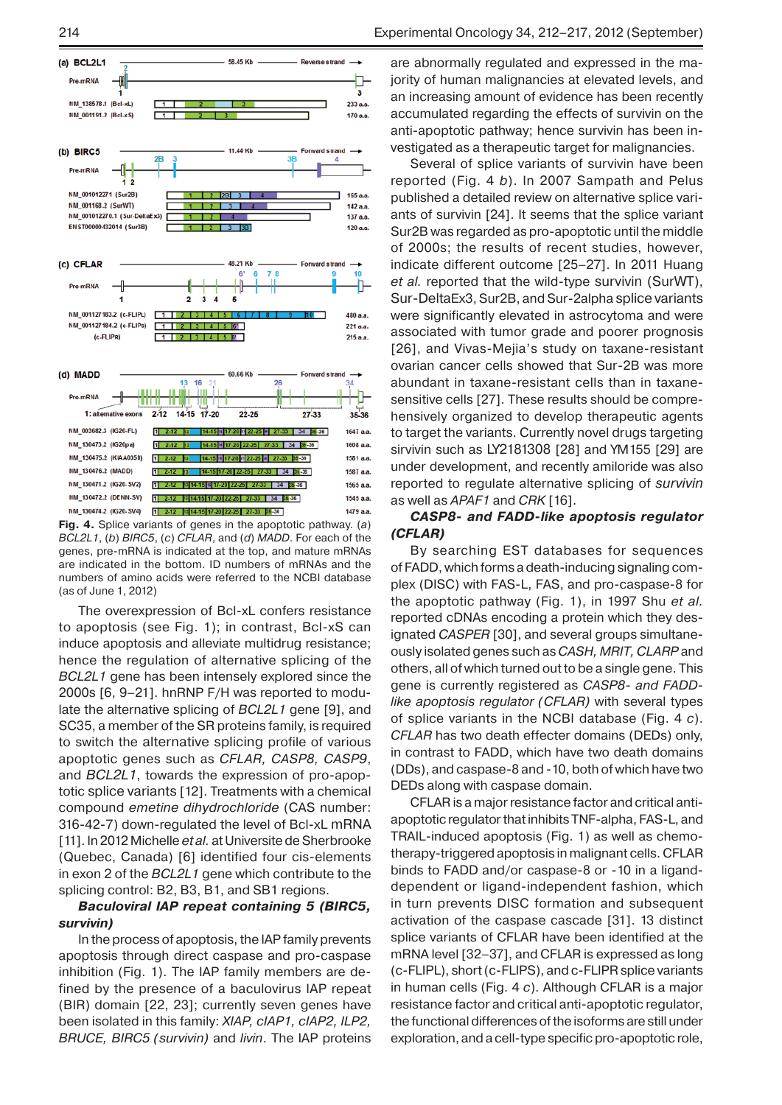

**Fig. 4.** Splice variants of genes in the apoptotic pathway. (*a*) *BCL2L1*, (*b*) *BIRC5*, (*c*) *CFLAR*, and (*d*) *MADD*. For each of the genes, pre-mRNA is indicated at the top, and mature mRNAs are indicated in the bottom. ID numbers of mRNAs and the numbers of amino acids were referred to the NCBI database (as of June 1, 2012)

The overexpression of Bcl-xL confers resistance to apoptosis (see Fig. 1); in contrast, Bcl-xS can induce apoptosis and alleviate multidrug resistance; hence the regulation of alternative splicing of the *BCL2L1* gene has been intensely explored since the 2000s [6, 9–21]. hnRNP F/H was reported to modulate the alternative splicing of *BCL2L1* gene [9], and SC35, a member of the SR proteins family, is required to switch the alternative splicing profile of various apoptotic genes such as *CFLAR, CASP8, CASP9*, and *BCL2L1*, towards the expression of pro-apoptotic splice variants [12]. Treatments with a chemical compound *emetine dihydrochloride* (CAS number: 316-42-7) down-regulated the level of Bcl-xL mRNA [11]. In 2012 Michelle *et al.* at Universite de Sherbrooke (Quebec, Canada) [6] identified four cis-elements in exon 2 of the *BCL2L1* gene which contribute to the splicing control: B2, B3, B1, and SB1 regions.

### *Baculoviral IAP repeat containing 5 (BIRC5, survivin)*

In the process of apoptosis, the IAP family prevents apoptosis through direct caspase and pro-caspase inhibition (Fig. 1). The IAP family members are defined by the presence of a baculovirus IAP repeat (BIR) domain [22, 23]; currently seven genes have been isolated in this family: *XIAP, cIAP1, cIAP2, ILP2, BRUCE, BIRC5 (survivin)* and *livin*. The IAP proteins

are abnormally regulated and expressed in the majority of human malignancies at elevated levels, and an increasing amount of evidence has been recently accumulated regarding the effects of survivin on the anti-apoptotic pathway; hence survivin has been investigated as a therapeutic target for malignancies.

Several of splice variants of survivin have been reported (Fig. 4 *b*). In 2007 Sampath and Pelus published a detailed review on alternative splice variants of survivin [24]. It seems that the splice variant Sur2B was regarded as pro-apoptotic until the middle of 2000s; the results of recent studies, however, indicate different outcome [25–27]. In 2011 Huang *et al.* reported that the wild-type survivin (SurWT), Sur-DeltaEx3, Sur2B, and Sur-2alpha splice variants were significantly elevated in astrocytoma and were associated with tumor grade and poorer prognosis [26], and Vivas-Mejia's study on taxane-resistant ovarian cancer cells showed that Sur-2B was more abundant in taxane-resistant cells than in taxanesensitive cells [27]. These results should be comprehensively organized to develop therapeutic agents to target the variants. Currently novel drugs targeting sirvivin such as LY2181308 [28] and YM155 [29] are under development, and recently amiloride was also reported to regulate alternative splicing of *survivin* as well as *APAF1* and *CRK* [16].

*CASP8- and FADD-like apoptosis regulator (CFLAR)*

By searching EST databases for sequences of FADD, which forms a death-inducing signaling complex (DISC) with FAS-L, FAS, and pro-caspase-8 for the apoptotic pathway (Fig. 1), in 1997 Shu *et al.* reported cDNAs encoding a protein which they designated *CASPER* [30], and several groups simultaneously isolated genes such as *CASH, MRIT, CLARP* and others, all of which turned out to be a single gene. This gene is currently registered as *CASP8- and FADDlike apoptosis regulator (CFLAR)* with several types of splice variants in the NCBI database (Fig. 4 *c*). *CFLAR* has two death effecter domains (DEDs) only, in contrast to FADD, which have two death domains (DDs), and caspase-8 and -10, both of which have two DEDs along with caspase domain.

CFLAR is a major resistance factor and critical antiapoptotic regulator that inhibits TNF-alpha, FAS-L, and TRAIL-induced apoptosis (Fig. 1) as well as chemotherapy-triggered apoptosis in malignant cells. CFLAR binds to FADD and/or caspase-8 or -10 in a liganddependent or ligand-independent fashion, which in turn prevents DISC formation and subsequent activation of the caspase cascade [31]. 13 distinct splice variants of CFLAR have been identified at the mRNA level [32–37], and CFLAR is expressed as long (c-FLIPL), short (c-FLIPS), and c-FLIPR splice variants in human cells (Fig. 4 *c*). Although CFLAR is a major resistance factor and critical anti-apoptotic regulator, the functional differences of the isoforms are still under exploration, and a cell-type specific pro-apoptotic role,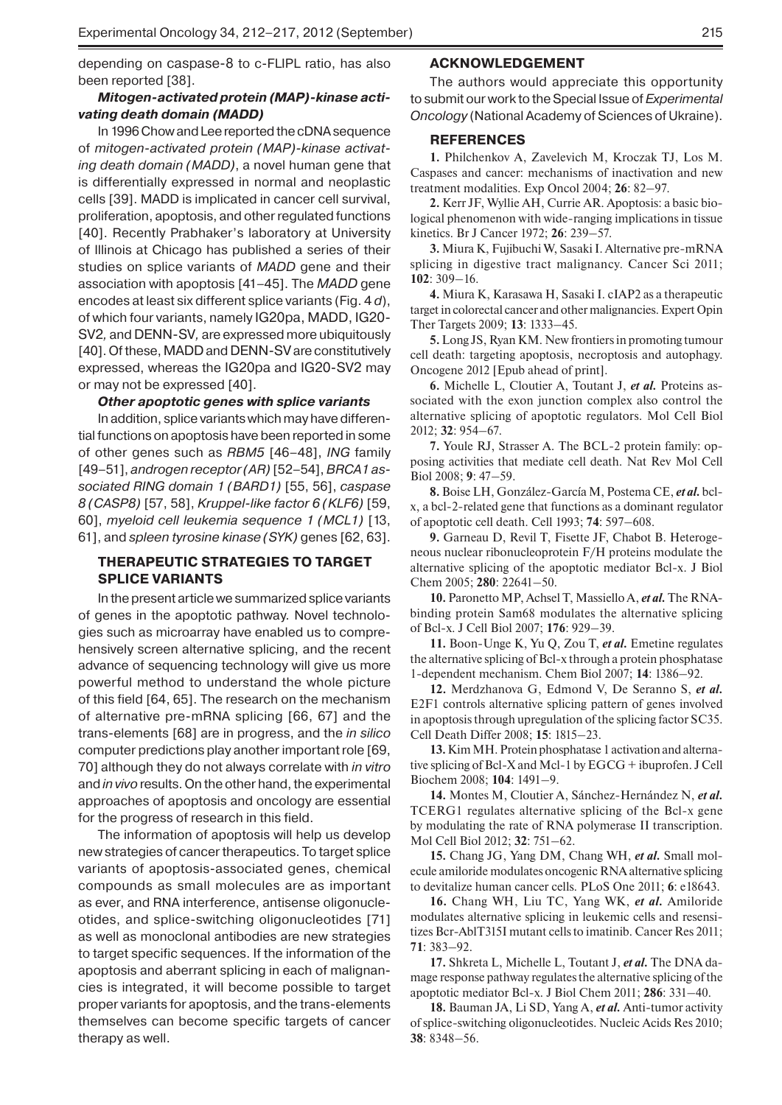depending on caspase-8 to c-FLIPL ratio, has also been reported [38].

#### *Mitogen-activated protein (MAP)-kinase activating death domain (MADD)*

In 1996 Chow and Lee reported the cDNA sequence of *mitogen-activated protein (MAP)-kinase activating death domain (MADD)*, a novel human gene that is differentially expressed in normal and neoplastic cells [39]. MADD is implicated in cancer cell survival, proliferation, apoptosis, and other regulated functions [40]. Recently Prabhaker's laboratory at University of Illinois at Chicago has published a series of their studies on splice variants of *MADD* gene and their association with apoptosis [41–45]. The *MADD* gene encodes at least six different splice variants (Fig. 4 *d*), of which four variants, namely IG20pa, MADD, IG20- SV2*,* and DENN-SV*,* are expressed more ubiquitously [40]. Of these, MADD and DENN-SVare constitutively expressed, whereas the IG20pa and IG20-SV2 may or may not be expressed [40].

#### *Other apoptotic genes with splice variants*

In addition, splice variants which may have differential functions on apoptosis have been reported in some of other genes such as *RBM5* [46–48], *ING* family [49–51], *androgen receptor (AR)* [52–54], *BRCA1 associated RING domain 1 (BARD1)* [55, 56], *caspase 8 (CASP8)* [57, 58], *Kruppel-like factor 6 (KLF6)* [59, 60], *myeloid cell leukemia sequence 1 (MCL1)* [13, 61], and *spleen tyrosine kinase (SYK)* genes [62, 63].

# **THERAPEUTIC STRATEGIES TO TARGET SPLICE VARIANTS**

In the present article we summarized splice variants of genes in the apoptotic pathway. Novel technologies such as microarray have enabled us to comprehensively screen alternative splicing, and the recent advance of sequencing technology will give us more powerful method to understand the whole picture of this field [64, 65]. The research on the mechanism of alternative pre-mRNA splicing [66, 67] and the trans-elements [68] are in progress, and the *in silico*  computer predictions play another important role [69, 70] although they do not always correlate with *in vitro* and *in vivo* results. On the other hand, the experimental approaches of apoptosis and oncology are essential for the progress of research in this field.

The information of apoptosis will help us develop new strategies of cancer therapeutics. To target splice variants of apoptosis-associated genes, chemical compounds as small molecules are as important as ever, and RNA interference, antisense oligonucleotides, and splice-switching oligonucleotides [71] as well as monoclonal antibodies are new strategies to target specific sequences. If the information of the apoptosis and aberrant splicing in each of malignancies is integrated, it will become possible to target proper variants for apoptosis, and the trans-elements themselves can become specific targets of cancer therapy as well.

### **ACKNOWLEDGEMENT**

The authors would appreciate this opportunity to submit our work to the Special Issue of *Experimental Oncology* (National Academy of Sciences of Ukraine).

#### **REFERENCES**

**1.** Philchenkov A, Zavelevich M, Kroczak TJ, Los M. Caspases and cancer: mechanisms of inactivation and new treatment modalities. Exp Oncol 2004; **26**: 82–97.

**2.** Kerr JF, Wyllie AH, Currie AR. Apoptosis: a basic biological phenomenon with wide-ranging implications in tissue kinetics. Br J Cancer 1972; **26**: 239–57.

**3.** Miura K, Fujibuchi W, Sasaki I. Alternative pre-mRNA splicing in digestive tract malignancy. Cancer Sci 2011; **102**: 309–16.

**4.** Miura K, Karasawa H, Sasaki I. cIAP2 as a therapeutic target in colorectal cancer and other malignancies. Expert Opin Ther Targets 2009; **13**: 1333–45.

**5.** Long JS, Ryan KM. New frontiers in promoting tumour cell death: targeting apoptosis, necroptosis and autophagy. Oncogene 2012 [Epub ahead of print].

**6.** Michelle L, Cloutier A, Toutant J, *et al.* Proteins associated with the exon junction complex also control the alternative splicing of apoptotic regulators. Mol Cell Biol 2012; **32**: 954–67.

**7.** Youle RJ, Strasser A. The BCL-2 protein family: opposing activities that mediate cell death. Nat Rev Mol Cell Biol 2008; **9**: 47–59.

**8.** Boise LH, González-García M, Postema CE, *et al.* bclx, a bcl-2-related gene that functions as a dominant regulator of apoptotic cell death. Cell 1993; **74**: 597–608.

**9.** Garneau D, Revil T, Fisette JF, Chabot B. Heterogeneous nuclear ribonucleoprotein F/H proteins modulate the alternative splicing of the apoptotic mediator Bcl-x. J Biol Chem 2005; **280**: 22641–50.

**10.** Paronetto MP, Achsel T, Massiello A, *et al.* The RNAbinding protein Sam68 modulates the alternative splicing of Bcl-x. J Cell Biol 2007; **176**: 929–39.

**11.** Boon-Unge K, Yu Q, Zou T, *et al.* Emetine regulates the alternative splicing of Bcl-x through a protein phosphatase 1-dependent mechanism. Chem Biol 2007; **14**: 1386–92.

**12.** Merdzhanova G, Edmond V, De Seranno S, *et al.*  E2F1 controls alternative splicing pattern of genes involved in apoptosis through upregulation of the splicing factor SC35. Cell Death Differ 2008; **15**: 1815–23.

**13.** Kim MH. Protein phosphatase 1 activation and alternative splicing of Bcl-X and Mcl-1 by EGCG + ibuprofen. J Cell Biochem 2008; **104**: 1491–9.

**14.** Montes M, Cloutier A, Sánchez-Hernández N, *et al.*  TCERG1 regulates alternative splicing of the Bcl-x gene by modulating the rate of RNA polymerase II transcription. Mol Cell Biol 2012; **32**: 751–62.

**15.** Chang JG, Yang DM, Chang WH, *et al.* Small molecule amiloride modulates oncogenic RNA alternative splicing to devitalize human cancer cells. PLoS One 2011; **6**: e18643.

**16.** Chang WH, Liu TC, Yang WK, *et al.* Amiloride modulates alternative splicing in leukemic cells and resensitizes Bcr-AblT315I mutant cells to imatinib. Cancer Res 2011; **71**: 383–92.

**17.** Shkreta L, Michelle L, Toutant J, *et al.* The DNA damage response pathway regulates the alternative splicing of the apoptotic mediator Bcl-x. J Biol Chem 2011; **286**: 331–40.

**18.** Bauman JA, Li SD, Yang A, *et al.* Anti-tumor activity of splice-switching oligonucleotides. Nucleic Acids Res 2010; **38**: 8348–56.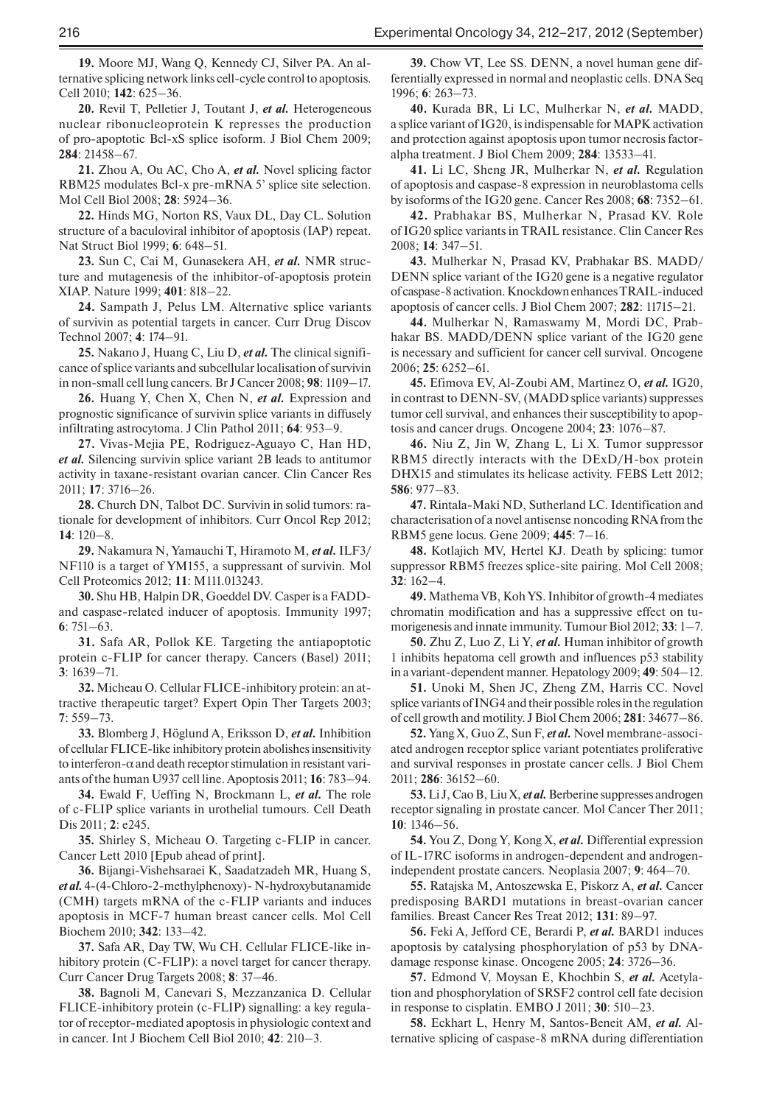**19.** Moore MJ, Wang Q, Kennedy CJ, Silver PA. An alternative splicing network links cell-cycle control to apoptosis. Cell 2010; **142**: 625–36.

**20.** Revil T, Pelletier J, Toutant J, *et al.* Heterogeneous nuclear ribonucleoprotein K represses the production of pro-apoptotic Bcl-xS splice isoform. J Biol Chem 2009; **284**: 21458–67.

**21.** Zhou A, Ou AC, Cho A, *et al.* Novel splicing factor RBM25 modulates Bcl-x pre-mRNA 5' splice site selection. Mol Cell Biol 2008; **28**: 5924–36.

**22.** Hinds MG, Norton RS, Vaux DL, Day CL. Solution structure of a baculoviral inhibitor of apoptosis (IAP) repeat. Nat Struct Biol 1999; **6**: 648–51.

**23.** Sun C, Cai M, Gunasekera AH, *et al.* NMR structure and mutagenesis of the inhibitor-of-apoptosis protein XIAP. Nature 1999; **401**: 818–22.

**24.** Sampath J, Pelus LM. Alternative splice variants of survivin as potential targets in cancer. Curr Drug Discov Technol 2007; **4**: 174–91.

**25.** Nakano J, Huang C, Liu D, *et al.* The clinical significance of splice variants and subcellular localisation of survivin in non-small cell lung cancers. Br J Cancer 2008; **98**: 1109–17.

**26.** Huang Y, Chen X, Chen N, *et al.* Expression and prognostic significance of survivin splice variants in diffusely infiltrating astrocytoma. J Clin Pathol 2011; **64**: 953–9.

**27.** Vivas-Mejia PE, Rodriguez-Aguayo C, Han HD, *et al.* Silencing survivin splice variant 2B leads to antitumor activity in taxane-resistant ovarian cancer. Clin Cancer Res 2011; **17**: 3716–26.

**28.** Church DN, Talbot DC. Survivin in solid tumors: rationale for development of inhibitors. Curr Oncol Rep 2012; **14**: 120–8.

**29.** Nakamura N, Yamauchi T, Hiramoto M, *et al.* ILF3/ NF110 is a target of YM155, a suppressant of survivin. Mol Cell Proteomics 2012; **11**: M111.013243.

**30.** Shu HB, Halpin DR, Goeddel DV. Casper is a FADDand caspase-related inducer of apoptosis. Immunity 1997; **6**: 751–63.

**31.** Safa AR, Pollok KE. Targeting the antiapoptotic protein c-FLIP for cancer therapy. Cancers (Basel) 2011; **3**: 1639–71.

**32.** Micheau O. Cellular FLICE-inhibitory protein: an attractive therapeutic target? Expert Opin Ther Targets 2003; **7**: 559–73.

**33.** Blomberg J, Höglund A, Eriksson D, *et al.* Inhibition of cellular FLICE-like inhibitory protein abolishes insensitivity to interferon- $\alpha$  and death receptor stimulation in resistant variants of the human U937 cell line. Apoptosis 2011; **16**: 783–94.

**34.** Ewald F, Ueffing N, Brockmann L, *et al.* The role of c-FLIP splice variants in urothelial tumours. Cell Death Dis 2011; **2**: e245.

**35.** Shirley S, Micheau O. Targeting c-FLIP in cancer. Cancer Lett 2010 [Epub ahead of print].

**36.** Bijangi-Vishehsaraei K, Saadatzadeh MR, Huang S, *et al.* 4-(4-Chloro-2-methylphenoxy)- N-hydroxybutanamide (CMH) targets mRNA of the c-FLIP variants and induces apoptosis in MCF-7 human breast cancer cells. Mol Cell Biochem 2010; **342**: 133–42.

**37.** Safa AR, Day TW, Wu CH. Cellular FLICE-like inhibitory protein (C-FLIP): a novel target for cancer therapy. Curr Cancer Drug Targets 2008; **8**: 37–46.

**38.** Bagnoli M, Canevari S, Mezzanzanica D. Cellular FLICE-inhibitory protein (c-FLIP) signalling: a key regulator of receptor-mediated apoptosis in physiologic context and in cancer. Int J Biochem Cell Biol 2010; **42**: 210–3.

**39.** Chow VT, Lee SS. DENN, a novel human gene differentially expressed in normal and neoplastic cells. DNA Seq 1996; **6**: 263–73.

**40.** Kurada BR, Li LC, Mulherkar N, *et al.* MADD, a splice variant of IG20, is indispensable for MAPK activation and protection against apoptosis upon tumor necrosis factoralpha treatment. J Biol Chem 2009; **284**: 13533–41.

**41.** Li LC, Sheng JR, Mulherkar N, *et al.* Regulation of apoptosis and caspase-8 expression in neuroblastoma cells by isoforms of the IG20 gene. Cancer Res 2008; **68**: 7352–61.

**42.** Prabhakar BS, Mulherkar N, Prasad KV. Role of IG20 splice variants in TRAIL resistance. Clin Cancer Res 2008; **14**: 347–51.

**43.** Mulherkar N, Prasad KV, Prabhakar BS. MADD/ DENN splice variant of the IG20 gene is a negative regulator of caspase-8 activation. Knockdown enhances TRAIL-induced apoptosis of cancer cells. J Biol Chem 2007; **282**: 11715–21.

**44.** Mulherkar N, Ramaswamy M, Mordi DC, Prabhakar BS. MADD/DENN splice variant of the IG20 gene is necessary and sufficient for cancer cell survival. Oncogene 2006; **25**: 6252–61.

**45.** Efimova EV, Al-Zoubi AM, Martinez O, *et al.* IG20, in contrast to DENN-SV, (MADD splice variants) suppresses tumor cell survival, and enhances their susceptibility to apoptosis and cancer drugs. Oncogene 2004; **23**: 1076–87.

**46.** Niu Z, Jin W, Zhang L, Li X. Tumor suppressor RBM5 directly interacts with the DExD/H-box protein DHX15 and stimulates its helicase activity. FEBS Lett 2012; **586**: 977–83.

**47.** Rintala-Maki ND, Sutherland LC. Identification and characterisation of a novel antisense noncoding RNA from the RBM5 gene locus. Gene 2009; **445**: 7–16.

**48.** Kotlajich MV, Hertel KJ. Death by splicing: tumor suppressor RBM5 freezes splice-site pairing. Mol Cell 2008; **32**: 162–4.

**49.** Mathema VB, Koh YS. Inhibitor of growth-4 mediates chromatin modification and has a suppressive effect on tumorigenesis and innate immunity. Tumour Biol 2012; **33**: 1–7.

**50.** Zhu Z, Luo Z, Li Y, *et al.* Human inhibitor of growth 1 inhibits hepatoma cell growth and influences p53 stability in a variant-dependent manner. Hepatology 2009; **49**: 504–12.

**51.** Unoki M, Shen JC, Zheng ZM, Harris CC. Novel splice variants of ING4 and their possible roles in the regulation of cell growth and motility. J Biol Chem 2006; **281**: 34677–86.

**52.** Yang X, Guo Z, Sun F, *et al.* Novel membrane-associated androgen receptor splice variant potentiates proliferative and survival responses in prostate cancer cells. J Biol Chem 2011; **286**: 36152–60.

**53.** Li J, Cao B, Liu X, *et al.* Berberine suppresses androgen receptor signaling in prostate cancer. Mol Cancer Ther 2011; **10**: 1346–56.

**54.** You Z, Dong Y, Kong X, *et al.* Differential expression of IL-17RC isoforms in androgen-dependent and androgenindependent prostate cancers. Neoplasia 2007; **9**: 464–70.

**55.** Ratajska M, Antoszewska E, Piskorz A, *et al.* Cancer predisposing BARD1 mutations in breast-ovarian cancer families. Breast Cancer Res Treat 2012; **131**: 89–97.

**56.** Feki A, Jefford CE, Berardi P, *et al.* BARD1 induces apoptosis by catalysing phosphorylation of p53 by DNAdamage response kinase. Oncogene 2005; **24**: 3726–36.

**57.** Edmond V, Moysan E, Khochbin S, *et al.* Acetylation and phosphorylation of SRSF2 control cell fate decision in response to cisplatin. EMBO J 2011; **30**: 510–23.

**58.** Eckhart L, Henry M, Santos-Beneit AM, *et al.* Alternative splicing of caspase-8 mRNA during differentiation